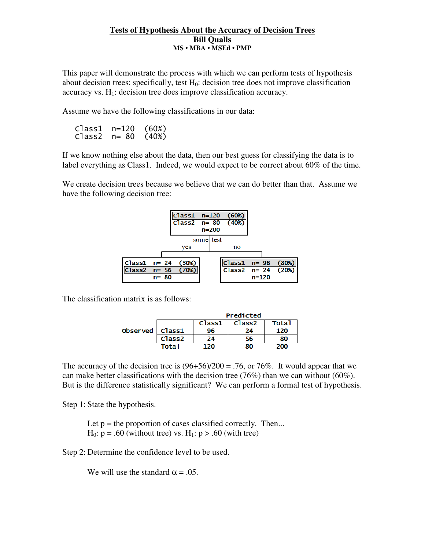## **Tests of Hypothesis About the Accuracy of Decision Trees Bill Qualls MS • MBA • MSEd • PMP**

This paper will demonstrate the process with which we can perform tests of hypothesis about decision trees; specifically, test  $H_0$ : decision tree does not improve classification accuracy vs. H<sub>1</sub>: decision tree does improve classification accuracy.

Assume we have the following classifications in our data:

Class1 n=120 (60%) Class2 n= 80 (40%)

If we know nothing else about the data, then our best guess for classifying the data is to label everything as Class1. Indeed, we would expect to be correct about 60% of the time.

We create decision trees because we believe that we can do better than that. Assume we have the following decision tree:



The classification matrix is as follows:

|                         |                    | Predicted |                    |       |
|-------------------------|--------------------|-----------|--------------------|-------|
|                         |                    | Class1    | Class <sub>2</sub> | Tota1 |
| Observed $\vert$ Class1 |                    | 96        | 24                 | 120   |
|                         | Class <sub>2</sub> | 24        | 56                 | 80    |
|                         | <b>Total</b>       | חכו       | 80                 | 200.  |

The accuracy of the decision tree is  $(96+56)/200 = .76$ , or 76%. It would appear that we can make better classifications with the decision tree (76%) than we can without (60%). But is the difference statistically significant? We can perform a formal test of hypothesis.

Step 1: State the hypothesis.

Let  $p =$  the proportion of cases classified correctly. Then...  $H_0$ :  $p = .60$  (without tree) vs.  $H_1$ :  $p > .60$  (with tree)

Step 2: Determine the confidence level to be used.

We will use the standard  $\alpha = .05$ .